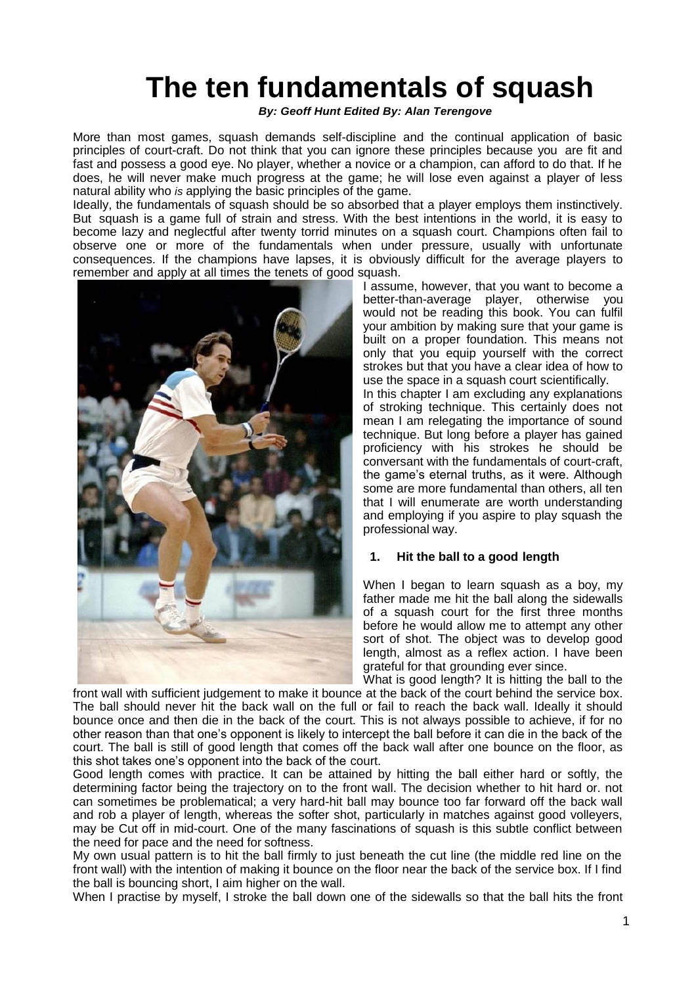# **The ten fundamentals of squash**

*By: Geoff Hunt Edited By: Alan Terengove*

More than most games, squash demands self-discipline and the continual application of basic principles of court-craft. Do not think that you can ignore these principles because you are fit and fast and possess a good eye. No player, whether a novice or a champion, can afford to do that. If he does, he will never make much progress at the game; he will lose even against a player of less natural ability who *is* applying the basic principles of the game.

Ideally, the fundamentals of squash should be so absorbed that a player employs them instinctively. But squash is a game full of strain and stress. With the best intentions in the world, it is easy to become lazy and neglectful after twenty torrid minutes on a squash court. Champions often fail to observe one or more of the fundamentals when under pressure, usually with unfortunate consequences. If the champions have lapses, it is obviously difficult for the average players to remember and apply at all times the tenets of good squash.



I assume, however, that you want to become a better-than-average player, otherwise you would not be reading this book. You can fulfil your ambition by making sure that your game is built on a proper foundation. This means not only that you equip yourself with the correct strokes but that you have a clear idea of how to use the space in a squash court scientifically. In this chapter I am excluding any explanations of stroking technique. This certainly does not mean I am relegating the importance of sound technique. But long before a player has gained proficiency with his strokes he should be conversant with the fundamentals of court-craft, the game's eternal truths, as it were. Although some are more fundamental than others, all ten that I will enumerate are worth understanding and employing if you aspire to play squash the professional way.

# **1. Hit the ball to a good length**

When I began to learn squash as a boy, my father made me hit the ball along the sidewalls of a squash court for the first three months before he would allow me to attempt any other sort of shot. The object was to develop good length, almost as a reflex action. I have been grateful for that grounding ever since.

What is good length? It is hitting the ball to the front wall with sufficient judgement to make it bounce at the back of the court behind the service box. The ball should never hit the back wall on the full or fail to reach the back wall. Ideally it should bounce once and then die in the back of the court. This is not always possible to achieve, if for no other reason than that one's opponent is likely to intercept the ball before it can die in the back of the court. The ball is still of good length that comes off the back wall after one bounce on the floor, as this shot takes one's opponent into the back of the court.

Good length comes with practice. It can be attained by hitting the ball either hard or softly, the determining factor being the trajectory on to the front wall. The decision whether to hit hard or. not can sometimes be problematical; a very hard-hit ball may bounce too far forward off the back wall and rob a player of length, whereas the softer shot, particularly in matches against good volleyers, may be Cut off in mid-court. One of the many fascinations of squash is this subtle conflict between the need for pace and the need for softness.

My own usual pattern is to hit the ball firmly to just beneath the cut line (the middle red line on the front wall) with the intention of making it bounce on the floor near the back of the service box. If I find the ball is bouncing short, I aim higher on the wall.

When I practise by myself, I stroke the ball down one of the sidewalls so that the ball hits the front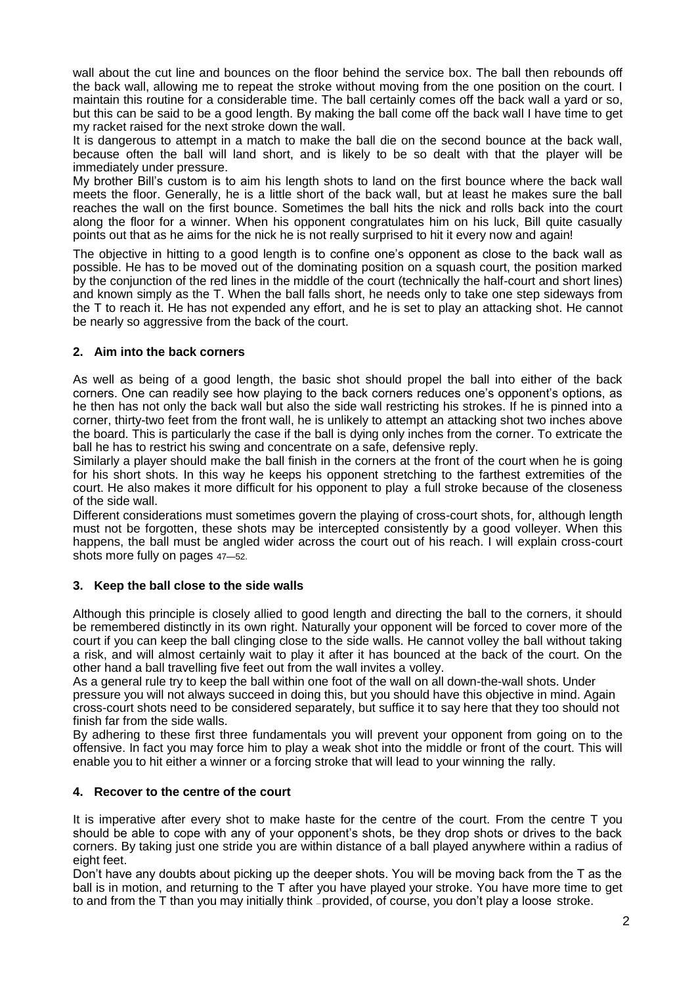wall about the cut line and bounces on the floor behind the service box. The ball then rebounds off the back wall, allowing me to repeat the stroke without moving from the one position on the court. I maintain this routine for a considerable time. The ball certainly comes off the back wall a yard or so, but this can be said to be a good length. By making the ball come off the back wall I have time to get my racket raised for the next stroke down the wall.

It is dangerous to attempt in a match to make the ball die on the second bounce at the back wall, because often the ball will land short, and is likely to be so dealt with that the player will be immediately under pressure.

My brother Bill's custom is to aim his length shots to land on the first bounce where the back wall meets the floor. Generally, he is a little short of the back wall, but at least he makes sure the ball reaches the wall on the first bounce. Sometimes the ball hits the nick and rolls back into the court along the floor for a winner. When his opponent congratulates him on his luck, Bill quite casually points out that as he aims for the nick he is not really surprised to hit it every now and again!

The objective in hitting to a good length is to confine one's opponent as close to the back wall as possible. He has to be moved out of the dominating position on a squash court, the position marked by the conjunction of the red lines in the middle of the court (technically the half-court and short lines) and known simply as the T. When the ball falls short, he needs only to take one step sideways from the T to reach it. He has not expended any effort, and he is set to play an attacking shot. He cannot be nearly so aggressive from the back of the court.

# **2. Aim into the back corners**

As well as being of a good length, the basic shot should propel the ball into either of the back corners. One can readily see how playing to the back corners reduces one's opponent's options, as he then has not only the back wall but also the side wall restricting his strokes. If he is pinned into a corner, thirty-two feet from the front wall, he is unlikely to attempt an attacking shot two inches above the board. This is particularly the case if the ball is dying only inches from the corner. To extricate the ball he has to restrict his swing and concentrate on a safe, defensive reply.

Similarly a player should make the ball finish in the corners at the front of the court when he is going for his short shots. In this way he keeps his opponent stretching to the farthest extremities of the court. He also makes it more difficult for his opponent to play a full stroke because of the closeness of the side wall.

Different considerations must sometimes govern the playing of cross-court shots, for, although length must not be forgotten, these shots may be intercepted consistently by a good volleyer. When this happens, the ball must be angled wider across the court out of his reach. I will explain cross-court shots more fully on pages 47—52.

#### **3. Keep the ball close to the side walls**

Although this principle is closely allied to good length and directing the ball to the corners, it should be remembered distinctly in its own right. Naturally your opponent will be forced to cover more of the court if you can keep the ball clinging close to the side walls. He cannot volley the ball without taking a risk, and will almost certainly wait to play it after it has bounced at the back of the court. On the other hand a ball travelling five feet out from the wall invites a volley.

As a general rule try to keep the ball within one foot of the wall on all down-the-wall shots. Under pressure you will not always succeed in doing this, but you should have this objective in mind. Again cross-court shots need to be considered separately, but suffice it to say here that they too should not finish far from the side walls.

By adhering to these first three fundamentals you will prevent your opponent from going on to the offensive. In fact you may force him to play a weak shot into the middle or front of the court. This will enable you to hit either a winner or a forcing stroke that will lead to your winning the rally.

#### **4. Recover to the centre of the court**

It is imperative after every shot to make haste for the centre of the court. From the centre T you should be able to cope with any of your opponent's shots, be they drop shots or drives to the back corners. By taking just one stride you are within distance of a ball played anywhere within a radius of eight feet.

Don't have any doubts about picking up the deeper shots. You will be moving back from the T as the ball is in motion, and returning to the T after you have played your stroke. You have more time to get to and from the T than you may initially think — provided, of course, you don't play a loose stroke.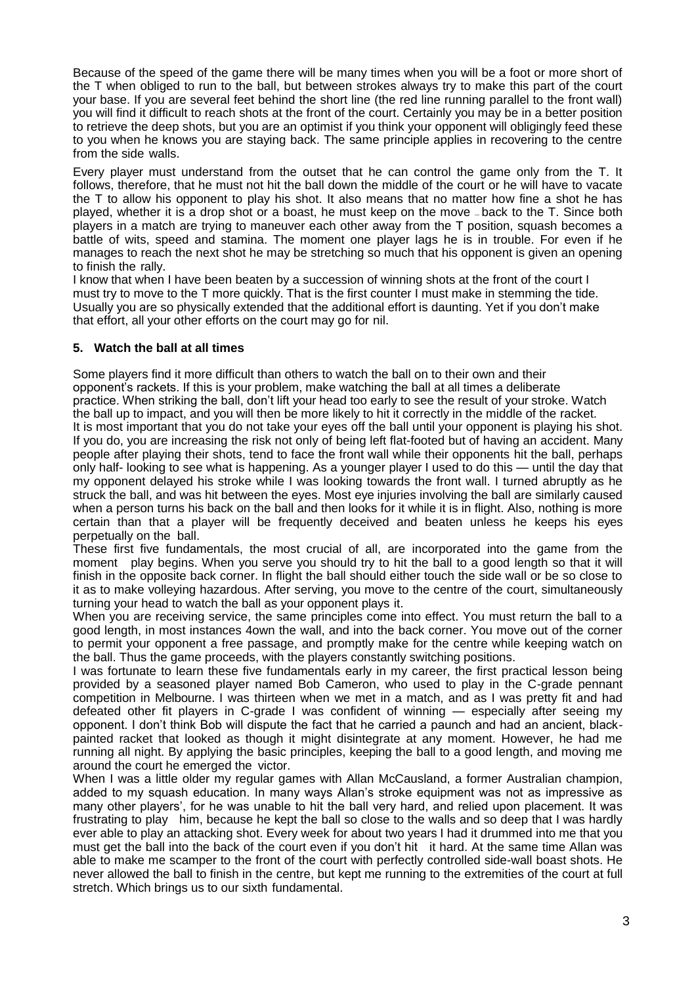Because of the speed of the game there will be many times when you will be a foot or more short of the T when obliged to run to the ball, but between strokes always try to make this part of the court your base. If you are several feet behind the short line (the red line running parallel to the front wall) you will find it difficult to reach shots at the front of the court. Certainly you may be in a better position to retrieve the deep shots, but you are an optimist if you think your opponent will obligingly feed these to you when he knows you are staying back. The same principle applies in recovering to the centre from the side walls.

Every player must understand from the outset that he can control the game only from the T. It follows, therefore, that he must not hit the ball down the middle of the court or he will have to vacate the T to allow his opponent to play his shot. It also means that no matter how fine a shot he has played, whether it is a drop shot or a boast, he must keep on the move — back to the T. Since both players in a match are trying to maneuver each other away from the T position, squash becomes a battle of wits, speed and stamina. The moment one player lags he is in trouble. For even if he manages to reach the next shot he may be stretching so much that his opponent is given an opening to finish the rally.

I know that when I have been beaten by a succession of winning shots at the front of the court I must try to move to the T more quickly. That is the first counter I must make in stemming the tide. Usually you are so physically extended that the additional effort is daunting. Yet if you don't make that effort, all your other efforts on the court may go for nil.

# **5. Watch the ball at all times**

Some players find it more difficult than others to watch the ball on to their own and their opponent's rackets. If this is your problem, make watching the ball at all times a deliberate practice. When striking the ball, don't lift your head too early to see the result of your stroke. Watch the ball up to impact, and you will then be more likely to hit it correctly in the middle of the racket. It is most important that you do not take your eyes off the ball until your opponent is playing his shot. If you do, you are increasing the risk not only of being left flat-footed but of having an accident. Many people after playing their shots, tend to face the front wall while their opponents hit the ball, perhaps only half- looking to see what is happening. As a younger player I used to do this — until the day that my opponent delayed his stroke while I was looking towards the front wall. I turned abruptly as he struck the ball, and was hit between the eyes. Most eye injuries involving the ball are similarly caused when a person turns his back on the ball and then looks for it while it is in flight. Also, nothing is more certain than that a player will be frequently deceived and beaten unless he keeps his eyes perpetually on the ball.

These first five fundamentals, the most crucial of all, are incorporated into the game from the moment play begins. When you serve you should try to hit the ball to a good length so that it will finish in the opposite back corner. In flight the ball should either touch the side wall or be so close to it as to make volleying hazardous. After serving, you move to the centre of the court, simultaneously turning your head to watch the ball as your opponent plays it.

When you are receiving service, the same principles come into effect. You must return the ball to a good length, in most instances 4own the wall, and into the back corner. You move out of the corner to permit your opponent a free passage, and promptly make for the centre while keeping watch on the ball. Thus the game proceeds, with the players constantly switching positions.

I was fortunate to learn these five fundamentals early in my career, the first practical lesson being provided by a seasoned player named Bob Cameron, who used to play in the C-grade pennant competition in Melbourne. I was thirteen when we met in a match, and as I was pretty fit and had defeated other fit players in C-grade I was confident of winning — especially after seeing my opponent. I don't think Bob will dispute the fact that he carried a paunch and had an ancient, blackpainted racket that looked as though it might disintegrate at any moment. However, he had me running all night. By applying the basic principles, keeping the ball to a good length, and moving me around the court he emerged the victor.

When I was a little older my regular games with Allan McCausland, a former Australian champion, added to my squash education. In many ways Allan's stroke equipment was not as impressive as many other players', for he was unable to hit the ball very hard, and relied upon placement. It was frustrating to play him, because he kept the ball so close to the walls and so deep that I was hardly ever able to play an attacking shot. Every week for about two years I had it drummed into me that you must get the ball into the back of the court even if you don't hit it hard. At the same time Allan was able to make me scamper to the front of the court with perfectly controlled side-wall boast shots. He never allowed the ball to finish in the centre, but kept me running to the extremities of the court at full stretch. Which brings us to our sixth fundamental.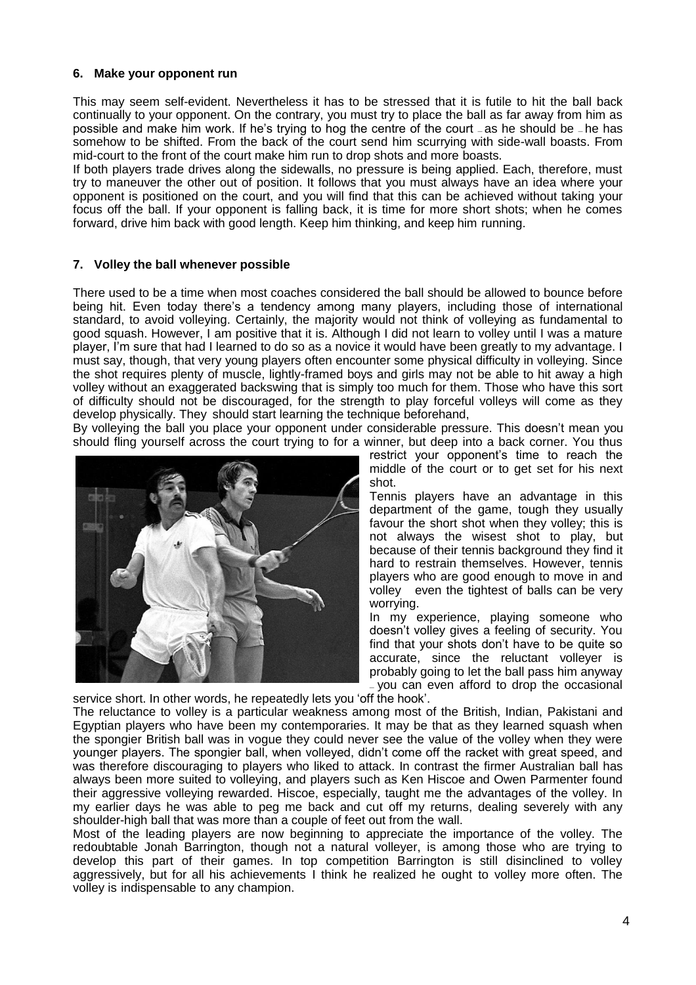#### **6. Make your opponent run**

This may seem self-evident. Nevertheless it has to be stressed that it is futile to hit the ball back continually to your opponent. On the contrary, you must try to place the ball as far away from him as possible and make him work. If he's trying to hog the centre of the court — as he should be — he has somehow to be shifted. From the back of the court send him scurrying with side-wall boasts. From mid-court to the front of the court make him run to drop shots and more boasts.

If both players trade drives along the sidewalls, no pressure is being applied. Each, therefore, must try to maneuver the other out of position. It follows that you must always have an idea where your opponent is positioned on the court, and you will find that this can be achieved without taking your focus off the ball. If your opponent is falling back, it is time for more short shots; when he comes forward, drive him back with good length. Keep him thinking, and keep him running.

## **7. Volley the ball whenever possible**

There used to be a time when most coaches considered the ball should be allowed to bounce before being hit. Even today there's a tendency among many players, including those of international standard, to avoid volleying. Certainly, the majority would not think of volleying as fundamental to good squash. However, I am positive that it is. Although I did not learn to volley until I was a mature player, I'm sure that had I learned to do so as a novice it would have been greatly to my advantage. I must say, though, that very young players often encounter some physical difficulty in volleying. Since the shot requires plenty of muscle, lightly-framed boys and girls may not be able to hit away a high volley without an exaggerated backswing that is simply too much for them. Those who have this sort of difficulty should not be discouraged, for the strength to play forceful volleys will come as they develop physically. They should start learning the technique beforehand,

By volleying the ball you place your opponent under considerable pressure. This doesn't mean you should fling yourself across the court trying to for a winner, but deep into a back corner. You thus



restrict your opponent's time to reach the middle of the court or to get set for his next shot.

Tennis players have an advantage in this department of the game, tough they usually favour the short shot when they volley; this is not always the wisest shot to play, but because of their tennis background they find it hard to restrain themselves. However, tennis players who are good enough to move in and volley even the tightest of balls can be very worrying.

In my experience, playing someone who doesn't volley gives a feeling of security. You find that your shots don't have to be quite so accurate, since the reluctant volleyer is probably going to let the ball pass him anyway you can even afford to drop the occasional

service short. In other words, he repeatedly lets you 'off the hook'.

The reluctance to volley is a particular weakness among most of the British, Indian, Pakistani and Egyptian players who have been my contemporaries. It may be that as they learned squash when the spongier British ball was in vogue they could never see the value of the volley when they were younger players. The spongier ball, when volleyed, didn't come off the racket with great speed, and was therefore discouraging to players who liked to attack. In contrast the firmer Australian ball has always been more suited to volleying, and players such as Ken Hiscoe and Owen Parmenter found their aggressive volleying rewarded. Hiscoe, especially, taught me the advantages of the volley. In my earlier days he was able to peg me back and cut off my returns, dealing severely with any shoulder-high ball that was more than a couple of feet out from the wall.

Most of the leading players are now beginning to appreciate the importance of the volley. The redoubtable Jonah Barrington, though not a natural volleyer, is among those who are trying to develop this part of their games. In top competition Barrington is still disinclined to volley aggressively, but for all his achievements I think he realized he ought to volley more often. The volley is indispensable to any champion.